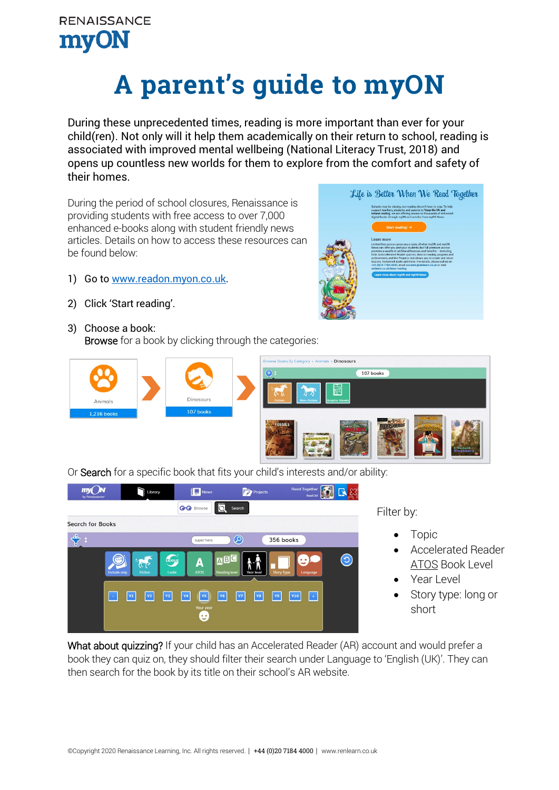## **A parent's guide to myON**

During these unprecedented times, reading is more important than ever for your child(ren). Not only will it help them academically on their return to school, reading is associated with improved mental wellbeing (National Literacy Trust, 2018) and opens up countless new worlds for them to explore from the comfort and safety of their homes.

During the period of school closures, Renaissance is providing students with free access to over 7,000 enhanced e-books along with student friendly news articles. Details on how to access these resources can be found below:

- 1) Go to [www.readon.myon.co.uk.](http://www.readon.myon.co.uk/)
- 2) Click 'Start reading'.
- 3) Choose a book:

Browse for a book by clicking through the categories:





Or Search for a specific book that fits your child's interests and/or ability:



Filter by:

- Topic
- ATOS Book Level • Accelerated Reader
- Year Level
- Story type: long or short

What about quizzing? If your child has an Accelerated Reader (AR) account and would prefer a book they can quiz on, they should filter their search under Language to 'English (UK)'. They can then search for the book by its title on their school's AR website.